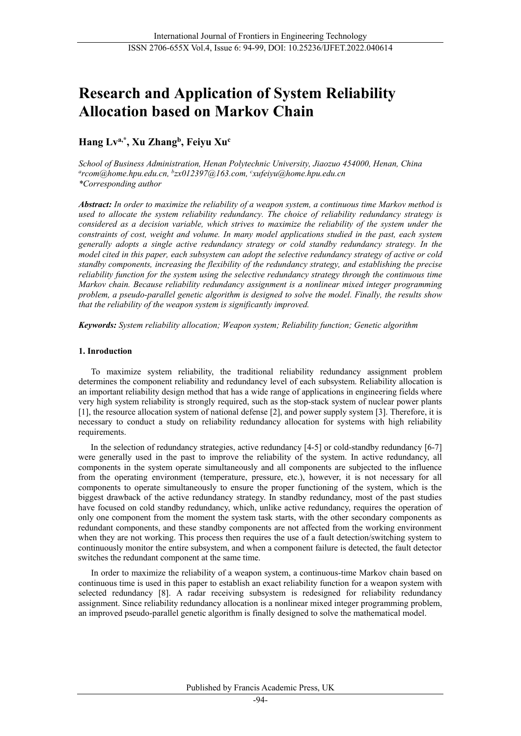# **Research and Application of System Reliability Allocation based on Markov Chain**

# **Hang Lva,\* , Xu Zhangb, Feiyu Xuc**

*School of Business Administration, Henan Polytechnic University, Jiaozuo 454000, Henan, China a rcom@home.hpu.edu.cn, <sup>b</sup> zx012397@163.com, <sup>c</sup> xufeiyu@home.hpu.edu.cn \*Corresponding author*

*Abstract: In order to maximize the reliability of a weapon system, a continuous time Markov method is used to allocate the system reliability redundancy. The choice of reliability redundancy strategy is considered as a decision variable, which strives to maximize the reliability of the system under the constraints of cost, weight and volume. In many model applications studied in the past, each system generally adopts a single active redundancy strategy or cold standby redundancy strategy. In the model cited in this paper, each subsystem can adopt the selective redundancy strategy of active or cold standby components, increasing the flexibility of the redundancy strategy, and establishing the precise reliability function for the system using the selective redundancy strategy through the continuous time Markov chain. Because reliability redundancy assignment is a nonlinear mixed integer programming problem, a pseudo-parallel genetic algorithm is designed to solve the model. Finally, the results show that the reliability of the weapon system is significantly improved.*

*Keywords: System reliability allocation; Weapon system; Reliability function; [Genetic](javascript:;) [algorithm](javascript:;)*

#### **1. Inroduction**

To maximize system reliability, the traditional reliability redundancy assignment problem determines the component reliability and redundancy level of each subsystem. Reliability allocation is an important reliability design method that has a wide range of applications in engineering fields where very high system reliability is strongly required, such as the stop-stack system of nuclear power plants [1], the resource allocation system of national defense [2], and power supply system [3]. Therefore, it is necessary to conduct a study on reliability redundancy allocation for systems with high reliability requirements.

In the selection of redundancy strategies, active redundancy [4-5] or cold-standby redundancy [6-7] were generally used in the past to improve the reliability of the system. In active redundancy, all components in the system operate simultaneously and all components are subjected to the influence from the operating environment (temperature, pressure, etc.), however, it is not necessary for all components to operate simultaneously to ensure the proper functioning of the system, which is the biggest drawback of the active redundancy strategy. In standby redundancy, most of the past studies have focused on cold standby redundancy, which, unlike active redundancy, requires the operation of only one component from the moment the system task starts, with the other secondary components as redundant components, and these standby components are not affected from the working environment when they are not working. This process then requires the use of a fault detection/switching system to continuously monitor the entire subsystem, and when a component failure is detected, the fault detector switches the redundant component at the same time.

In order to maximize the reliability of a weapon system, a continuous-time Markov chain based on continuous time is used in this paper to establish an exact reliability function for a weapon system with selected redundancy [8]. A radar receiving subsystem is redesigned for reliability redundancy assignment. Since reliability redundancy allocation is a nonlinear mixed integer programming problem, an improved pseudo-parallel genetic algorithm is finally designed to solve the mathematical model.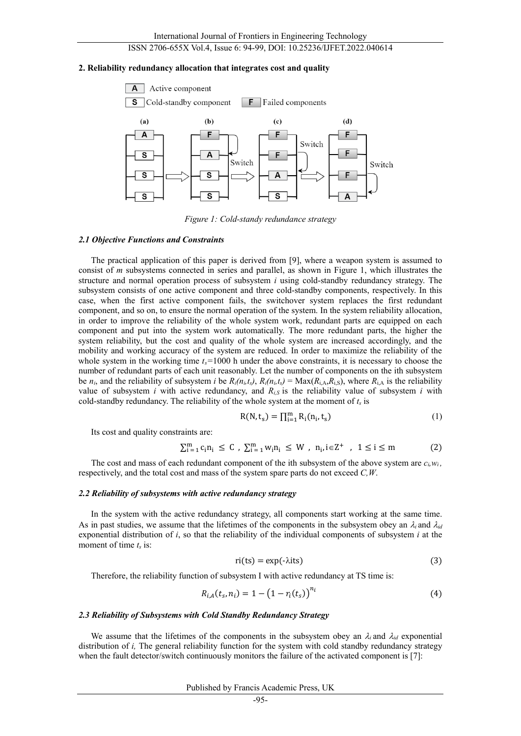#### **2. Reliability redundancy allocation that integrates cost and quality**



*Figure 1: Cold-standy redundance strategy*

#### *2.1 Objective Functions and Constraints*

The practical application of this paper is derived from [9], where a weapon system is assumed to consist of *m* subsystems connected in series and parallel, as shown in Figure 1, which illustrates the structure and normal operation process of subsystem *i* using cold-standby redundancy strategy. The subsystem consists of one active component and three cold-standby components, respectively. In this case, when the first active component fails, the switchover system replaces the first redundant component, and so on, to ensure the normal operation of the system. In the system reliability allocation, in order to improve the reliability of the whole system work, redundant parts are equipped on each component and put into the system work automatically. The more redundant parts, the higher the system reliability, but the cost and quality of the whole system are increased accordingly, and the mobility and working accuracy of the system are reduced. In order to maximize the reliability of the whole system in the working time  $t_s$ =1000 h under the above constraints, it is necessary to choose the number of redundant parts of each unit reasonably. Let the number of components on the ith subsystem be  $n_i$ , and the reliability of subsystem *i* be  $R_i(n_i,t_s)$ ,  $R_i(n_i,t_s) = \text{Max}(R_{i,A},R_{i,S})$ , where  $R_{i,A}$  is the reliability value of subsystem *i* with active redundancy, and  $R_{i,S}$  is the reliability value of subsystem *i* with cold-standby redundancy. The reliability of the whole system at the moment of  $t_s$  is

$$
R(N, t_s) = \prod_{i=1}^{m} R_i(n_i, t_s)
$$
 (1)

Its cost and quality constraints are:

$$
\sum_{i=1}^{m} c_i n_i \le C , \sum_{i=1}^{m} w_i n_i \le W , n_i, i \in \mathbb{Z}^+ , 1 \le i \le m
$$
 (2)

The cost and mass of each redundant component of the ith subsystem of the above system are  $c_i, w_i$ , respectively, and the total cost and mass of the system spare parts do not exceed *C,W*.

#### *2.2 Reliability of subsystems with active redundancy strategy*

In the system with the active redundancy strategy, all components start working at the same time. As in past studies, we assume that the lifetimes of the components in the subsystem obey an  $\lambda_i$  and  $\lambda_{id}$ exponential distribution of *i*, so that the reliability of the individual components of subsystem *i* at the moment of time *t<sub>s</sub>* is:

$$
ri(ts) = \exp(-\lambda its)
$$
 (3)

Therefore, the reliability function of subsystem I with active redundancy at TS time is:

$$
R_{i,A}(t_s, n_i) = 1 - (1 - r_i(t_s))^{n_i}
$$
\n(4)

#### *2.3 Reliability of Subsystems with Cold Standby Redundancy Strategy*

We assume that the lifetimes of the components in the subsystem obey an  $\lambda_i$  and  $\lambda_{id}$  exponential distribution of *i*, The general reliability function for the system with cold standby redundancy strategy when the fault detector/switch continuously monitors the failure of the activated component is [7]:

Published by Francis Academic Press, UK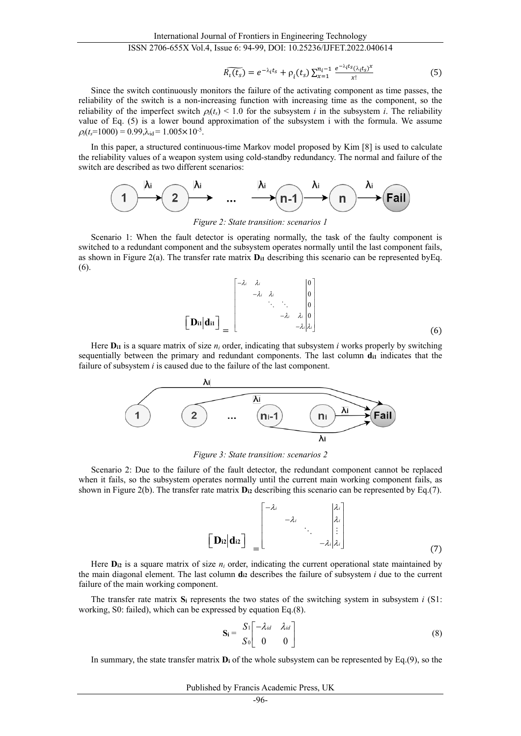$$
\widetilde{R_i(t_s)} = e^{-\lambda_i t_s} + \rho_i(t_s) \sum_{x=1}^{n_i - 1} \frac{e^{-\lambda_i t_s} (\lambda_i t_s)^x}{x!}
$$
 (5)

Since the switch continuously monitors the failure of the activating component as time passes, the reliability of the switch is a non-increasing function with increasing time as the component, so the reliability of the imperfect switch  $\rho_l(t_s)$  < 1.0 for the subsystem *i* in the subsystem *i*. The reliability value of Eq. (5) is a lower bound approximation of the subsystem i with the formula. We assume  $\rho_i(t_5=1000) = 0.99, \lambda_{\rm id} = 1.005 \times 10^{-5}$ .

In this paper, a structured continuous-time Markov model proposed by Kim [8] is used to calculate the reliability values of a weapon system using cold-standby redundancy. The normal and failure of the switch are described as two different scenarios:



*Figure 2: State transition: scenarios 1*

Scenario 1: When the fault detector is operating normally, the task of the faulty component is switched to a redundant component and the subsystem operates normally until the last component fails, as shown in Figure 2(a). The transfer rate matrix  $D_{11}$  describing this scenario can be represented by Eq. (6).

$$
\begin{bmatrix}\n\mathbf{D}_{\mathbf{i}1}|\mathbf{d}_{\mathbf{i}1}\n\end{bmatrix}_{=}\n\begin{bmatrix}\n-\lambda_{i} & \lambda_{i} & & 0 \\
-\lambda_{i} & \lambda_{i} & & 0 \\
& \ddots & \ddots & \ddots \\
& & -\lambda_{i} & \lambda_{i} & 0 \\
& & & -\lambda_{i} \lambda_{i}\n\end{bmatrix}
$$
\n(6)

Here **Di1** is a square matrix of size *ni* order, indicating that subsystem *i* works properly by switching sequentially between the primary and redundant components. The last column  $d_{11}$  indicates that the failure of subsystem *i* is caused due to the failure of the last component.



*Figure 3: State transition: scenarios 2*

Scenario 2: Due to the failure of the fault detector, the redundant component cannot be replaced when it fails, so the subsystem operates normally until the current main working component fails, as shown in Figure 2(b). The transfer rate matrix **Di2** describing this scenario can be represented by Eq.(7).

$$
\begin{bmatrix} \mathbf{D} \mathbf{z} | \mathbf{d} \mathbf{z} \end{bmatrix} = \begin{bmatrix} -\lambda_i & \lambda_i \\ -\lambda_i & \ddots \\ \vdots & \ddots \\ -\lambda_i | \lambda_i \end{bmatrix}
$$
(7)

Here  $D_{12}$  is a square matrix of size  $n_i$  order, indicating the current operational state maintained by the main diagonal element. The last column **di2** describes the failure of subsystem *i* due to the current failure of the main working component.

The transfer rate matrix  $S_i$  represents the two states of the switching system in subsystem *i* (S1: working, S0: failed), which can be expressed by equation Eq.(8).

$$
\mathbf{S_i} = \begin{bmatrix} S_1 \begin{bmatrix} -\lambda_{id} & \lambda_{id} \\ 0 & 0 \end{bmatrix} \end{bmatrix}
$$
 (8)

In summary, the state transfer matrix **Di** of the whole subsystem can be represented by Eq.(9), so the

Published by Francis Academic Press, UK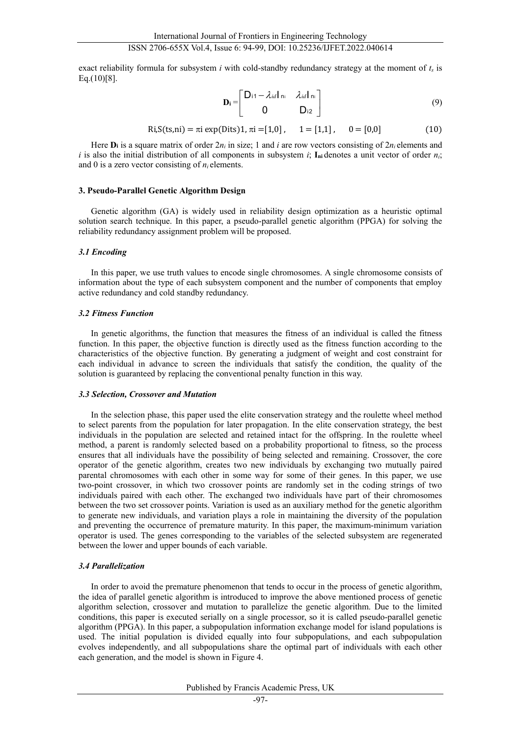exact reliability formula for subsystem *i* with cold-standby redundancy strategy at the moment of *ts* is  $Eq.(10)[8]$ .

$$
\mathbf{D}_{i} = \begin{bmatrix} D_{11} - \lambda_{id} I_{ni} & \lambda_{id} I_{ni} \\ 0 & D_{12} \end{bmatrix}
$$
 (9)

$$
Ri, S(ts, ni) = \pi i \exp(Dits) 1, \pi i = [1,0], \quad 1 = [1,1], \quad 0 = [0,0]
$$
 (10)

Here  $\mathbf{D}_i$  is a square matrix of order  $2n_i$  in size; 1 and *i* are row vectors consisting of  $2n_i$  elements and *i* is also the initial distribution of all components in subsystem *i*;  $I_{ni}$  denotes a unit vector of order  $n_i$ ; and 0 is a zero vector consisting of *ni* elements.

#### **3. Pseudo-Parallel Genetic Algorithm Design**

Genetic algorithm (GA) is widely used in reliability design optimization as a heuristic optimal solution search technique. In this paper, a pseudo-parallel genetic algorithm (PPGA) for solving the reliability redundancy assignment problem will be proposed.

#### *3.1 Encoding*

In this paper, we use truth values to encode single chromosomes. A single chromosome consists of information about the type of each subsystem component and the number of components that employ active redundancy and cold standby redundancy.

#### *3.2 Fitness Function*

In genetic algorithms, the function that measures the fitness of an individual is called the fitness function. In this paper, the objective function is directly used as the fitness function according to the characteristics of the objective function. By generating a judgment of weight and cost constraint for each individual in advance to screen the individuals that satisfy the condition, the quality of the solution is guaranteed by replacing the conventional penalty function in this way.

#### *3.3 Selection, Crossover and Mutation*

In the selection phase, this paper used the elite conservation strategy and the roulette wheel method to select parents from the population for later propagation. In the elite conservation strategy, the best individuals in the population are selected and retained intact for the offspring. In the roulette wheel method, a parent is randomly selected based on a probability proportional to fitness, so the process ensures that all individuals have the possibility of being selected and remaining. Crossover, the core operator of the genetic algorithm, creates two new individuals by exchanging two mutually paired parental chromosomes with each other in some way for some of their genes. In this paper, we use two-point crossover, in which two crossover points are randomly set in the coding strings of two individuals paired with each other. The exchanged two individuals have part of their chromosomes between the two set crossover points. Variation is used as an auxiliary method for the genetic algorithm to generate new individuals, and variation plays a role in maintaining the diversity of the population and preventing the occurrence of premature maturity. In this paper, the maximum-minimum variation operator is used. The genes corresponding to the variables of the selected subsystem are regenerated between the lower and upper bounds of each variable.

#### *3.4 Parallelization*

In order to avoid the premature phenomenon that tends to occur in the process of genetic algorithm, the idea of parallel genetic algorithm is introduced to improve the above mentioned process of genetic algorithm selection, crossover and mutation to parallelize the genetic algorithm. Due to the limited conditions, this paper is executed serially on a single processor, so it is called pseudo-parallel genetic algorithm (PPGA). In this paper, a subpopulation information exchange model for island populations is used. The initial population is divided equally into four subpopulations, and each subpopulation evolves independently, and all subpopulations share the optimal part of individuals with each other each generation, and the model is shown in Figure 4.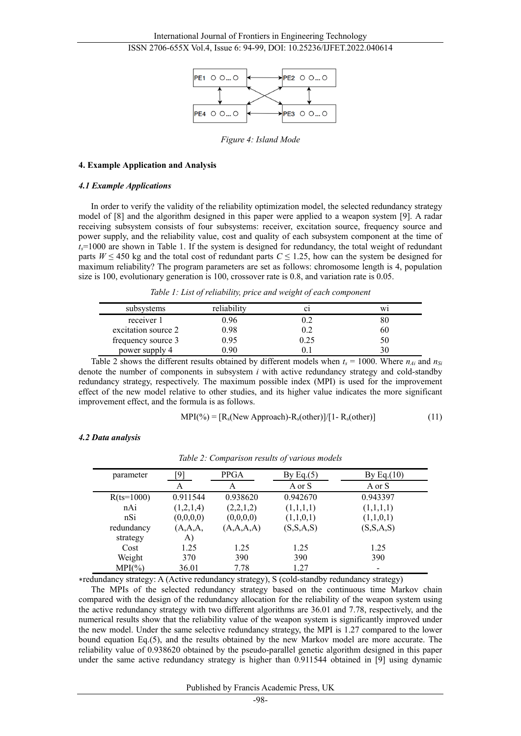

*Figure 4: Island Mode*

#### **4. Example Application and Analysis**

#### *4.1 Example Applications*

In order to verify the validity of the reliability optimization model, the selected redundancy strategy model of [8] and the algorithm designed in this paper were applied to a weapon system [9]. A radar receiving subsystem consists of four subsystems: receiver, excitation source, frequency source and power supply, and the reliability value, cost and quality of each subsystem component at the time of *ts*=1000 are shown in Table 1. If the system is designed for redundancy, the total weight of redundant parts  $W \le 450$  kg and the total cost of redundant parts  $C \le 1.25$ , how can the system be designed for maximum reliability? The program parameters are set as follows: chromosome length is 4, population size is 100, evolutionary generation is 100, crossover rate is 0.8, and variation rate is 0.05.

*Table 1: List of reliability, price and weight of each component*

| subsystems          | reliability | C1   | W1 |
|---------------------|-------------|------|----|
| receiver 1          | 0.96        |      | ŏί |
| excitation source 2 | 0.98        | 0.2  | 60 |
| frequency source 3  | 0.95        | 0.25 | 50 |
| power supply 4      | ი 90        |      |    |

Table 2 shows the different results obtained by different models when  $t_s = 1000$ . Where  $n_{Ai}$  and  $n_{Si}$ denote the number of components in subsystem *i* with active redundancy strategy and cold-standby redundancy strategy, respectively. The maximum possible index (MPI) is used for the improvement effect of the new model relative to other studies, and its higher value indicates the more significant improvement effect, and the formula is as follows.

$$
MPI(*) = [Rs(New Approach) - Rs(other)]/[1 - Rs(other)]
$$
 (11)

*4.2 Data analysis*

| parameter    | `Q`       | <b>PPGA</b>  | By Eq. $(5)$ | By Eq. $(10)$ |
|--------------|-----------|--------------|--------------|---------------|
|              | А         | A            | A or S       | A or S        |
| $R(ts=1000)$ | 0.911544  | 0.938620     | 0.942670     | 0.943397      |
| nAi          | (1,2,1,4) | (2,2,1,2)    | (1,1,1,1)    | (1,1,1,1)     |
| nSi          | (0,0,0,0) | (0,0,0,0)    | (1,1,0,1)    | (1,1,0,1)     |
| redundancy   | (A,A,A,   | (A, A, A, A) | (S, S, A, S) | (S, S, A, S)  |
| strategy     | A)        |              |              |               |
| Cost         | 1.25      | 1.25         | 1.25         | 1.25          |
| Weight       | 370       | 390          | 390          | 390           |
| $MPI(\% )$   | 36.01     | 7.78         | 1.27         | $\,$          |

*Table 2: Comparison results of various models*

∗redundancy strategy: A (Active redundancy strategy), S (cold-standby redundancy strategy)

The MPIs of the selected redundancy strategy based on the continuous time Markov chain compared with the design of the redundancy allocation for the reliability of the weapon system using the active redundancy strategy with two different algorithms are 36.01 and 7.78, respectively, and the numerical results show that the reliability value of the weapon system is significantly improved under the new model. Under the same selective redundancy strategy, the MPI is 1.27 compared to the lower bound equation Eq.(5), and the results obtained by the new Markov model are more accurate. The reliability value of 0.938620 obtained by the pseudo-parallel genetic algorithm designed in this paper under the same active redundancy strategy is higher than 0.911544 obtained in [9] using dynamic